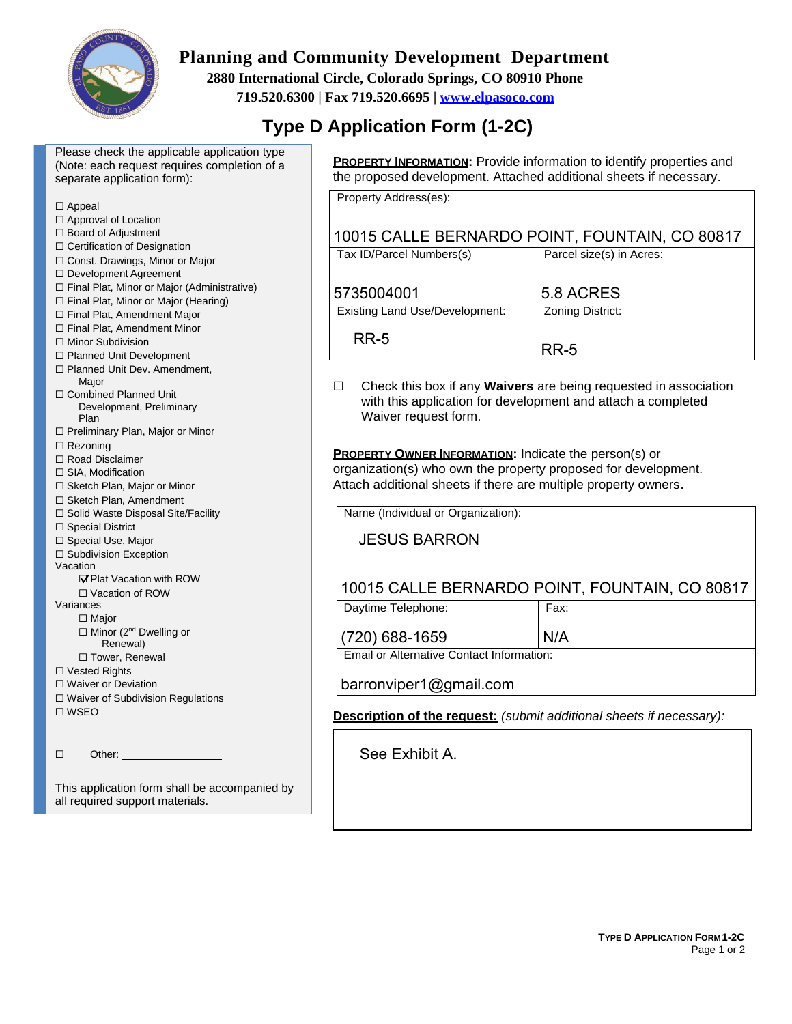

# **Planning and Community Development Department**

**2880 International Circle, Colorado Springs, CO 80910 Phone** 

**719.520.6300 | Fax 719.520.6695 | [www.elpasoco.com](http://www.elpasoco.com/)**

# **Type D Application Form (1-2C)**

Please check the applicable application type (Note: each request requires completion of a separate application form):

| $\Box$ Appeal                                                                                                            |                                                              |                          |  |
|--------------------------------------------------------------------------------------------------------------------------|--------------------------------------------------------------|--------------------------|--|
| □ Approval of Location                                                                                                   |                                                              |                          |  |
| □ Board of Adjustment                                                                                                    | 10015 CALLE BERNARDO POINT, FOUNTAIN,                        |                          |  |
| □ Certification of Designation                                                                                           | Tax ID/Parcel Numbers(s)                                     | Parcel size(s) in Acres: |  |
| □ Const. Drawings, Minor or Major                                                                                        |                                                              |                          |  |
| □ Development Agreement                                                                                                  |                                                              |                          |  |
| □ Final Plat, Minor or Major (Administrative)                                                                            | 5735004001                                                   | 5.8 ACRES                |  |
| □ Final Plat, Minor or Major (Hearing)                                                                                   |                                                              |                          |  |
| □ Final Plat, Amendment Major                                                                                            | <b>Existing Land Use/Development:</b>                        | <b>Zoning District:</b>  |  |
| □ Final Plat, Amendment Minor                                                                                            |                                                              |                          |  |
| □ Minor Subdivision                                                                                                      | <b>RR-5</b>                                                  |                          |  |
| □ Planned Unit Development                                                                                               |                                                              | <b>RR-5</b>              |  |
| □ Planned Unit Dev. Amendment,                                                                                           |                                                              |                          |  |
| Major                                                                                                                    | Check this box if any Waivers are being requested in<br>□    |                          |  |
| □ Combined Planned Unit                                                                                                  | with this application for development and attach a com       |                          |  |
| Development, Preliminary                                                                                                 | Waiver request form.                                         |                          |  |
| Plan                                                                                                                     |                                                              |                          |  |
| □ Preliminary Plan, Major or Minor                                                                                       |                                                              |                          |  |
| $\Box$ Rezoning                                                                                                          | <b>PROPERTY OWNER INFORMATION:</b> Indicate the person(s) or |                          |  |
| $\Box$ Road Disclaimer                                                                                                   | organization(s) who own the property proposed for develop    |                          |  |
| □ SIA, Modification                                                                                                      | Attach additional sheets if there are multiple property owne |                          |  |
| □ Sketch Plan, Major or Minor                                                                                            |                                                              |                          |  |
| □ Sketch Plan, Amendment                                                                                                 |                                                              |                          |  |
| □ Solid Waste Disposal Site/Facility                                                                                     | Name (Individual or Organization):                           |                          |  |
| $\Box$ Special District                                                                                                  |                                                              |                          |  |
| □ Special Use, Major                                                                                                     | <b>JESUS BARRON</b>                                          |                          |  |
| □ Subdivision Exception<br>Vacation                                                                                      |                                                              |                          |  |
| <b>⊠'</b> Plat Vacation with ROW                                                                                         |                                                              |                          |  |
| □ Vacation of ROW                                                                                                        | 10015 CALLE BERNARDO POINT, FOUNTAIN                         |                          |  |
| Variances                                                                                                                | Daytime Telephone:                                           | Fax:                     |  |
| $\Box$ Major                                                                                                             |                                                              |                          |  |
| □ Minor (2 <sup>nd</sup> Dwelling or                                                                                     |                                                              |                          |  |
| Renewal)                                                                                                                 | (720) 688-1659                                               | N/A                      |  |
| □ Tower, Renewal                                                                                                         | Email or Alternative Contact Information:                    |                          |  |
| □ Vested Rights                                                                                                          |                                                              |                          |  |
| $\Box$ Waiver or Deviation                                                                                               | barronviper1@gmail.com                                       |                          |  |
| □ Waiver of Subdivision Regulations                                                                                      |                                                              |                          |  |
| $\square$ WSEO                                                                                                           | Description of the request: (submit additional sheets if ne  |                          |  |
|                                                                                                                          |                                                              |                          |  |
|                                                                                                                          |                                                              |                          |  |
| $\Box$<br>Other: and the contract of the contract of the contract of the contract of the contract of the contract of the | See Exhibit A.                                               |                          |  |
|                                                                                                                          |                                                              |                          |  |
| This application form shall be accompanied by                                                                            |                                                              |                          |  |
| all required support materials.                                                                                          |                                                              |                          |  |
|                                                                                                                          |                                                              |                          |  |

**PROPERTY INFORMATION:** Provide information to identify properties and the proposed development. Attached additional sheets if necessary.

Property Address(es):

## CO 80817

| dx ID/Farcel Numbers(S)        | PAICE SIZE (S) III ACIES. |
|--------------------------------|---------------------------|
| 735004001                      | 5.8 ACRES                 |
| Existing Land Use/Development: | Zoning District:          |

association hpleted

organization(s) who own the property proposed for development. Attach additional sheets if there are multiple property owners.

## , CO 80817

 $\epsilon$  *Beessary*):